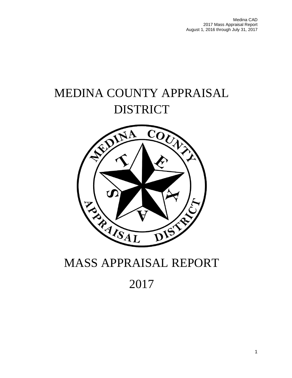# MEDINA COUNTY APPRAISAL DISTRICT



# MASS APPRAISAL REPORT

# 2017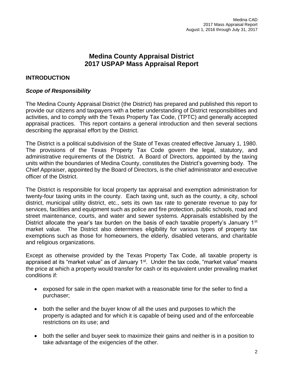# **Medina County Appraisal District 2017 USPAP Mass Appraisal Report**

## **INTRODUCTION**

## *Scope of Responsibility*

The Medina County Appraisal District (the District) has prepared and published this report to provide our citizens and taxpayers with a better understanding of District responsibilities and activities, and to comply with the Texas Property Tax Code, (TPTC) and generally accepted appraisal practices. This report contains a general introduction and then several sections describing the appraisal effort by the District.

The District is a political subdivision of the State of Texas created effective January 1, 1980. The provisions of the Texas Property Tax Code govern the legal, statutory, and administrative requirements of the District. A Board of Directors, appointed by the taxing units within the boundaries of Medina County, constitutes the District's governing body. The Chief Appraiser, appointed by the Board of Directors, is the chief administrator and executive officer of the District.

The District is responsible for local property tax appraisal and exemption administration for twenty-four taxing units in the county. Each taxing unit, such as the county, a city, school district, municipal utility district, etc., sets its own tax rate to generate revenue to pay for services, facilities and equipment such as police and fire protection, public schools, road and street maintenance, courts, and water and sewer systems. Appraisals established by the District allocate the year's tax burden on the basis of each taxable property's January  $1<sup>st</sup>$ market value. The District also determines eligibility for various types of property tax exemptions such as those for homeowners, the elderly, disabled veterans, and charitable and religious organizations.

Except as otherwise provided by the Texas Property Tax Code, all taxable property is appraised at its "market value" as of January  $1<sup>st</sup>$ . Under the tax code, "market value" means the price at which a property would transfer for cash or its equivalent under prevailing market conditions if:

- exposed for sale in the open market with a reasonable time for the seller to find a purchaser;
- both the seller and the buyer know of all the uses and purposes to which the property is adapted and for which it is capable of being used and of the enforceable restrictions on its use; and
- both the seller and buyer seek to maximize their gains and neither is in a position to take advantage of the exigencies of the other.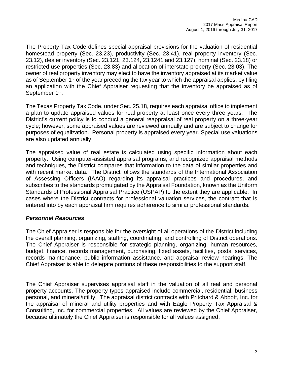The Property Tax Code defines special appraisal provisions for the valuation of residential homestead property (Sec. 23.23), productivity (Sec. 23.41), real property inventory (Sec. 23.12), dealer inventory (Sec. 23.121, 23.124, 23.1241 and 23.127), nominal (Sec. 23.18) or restricted use properties (Sec. 23.83) and allocation of interstate property (Sec. 23.03). The owner of real property inventory may elect to have the inventory appraised at its market value as of September  $1<sup>st</sup>$  of the year preceding the tax year to which the appraisal applies, by filing an application with the Chief Appraiser requesting that the inventory be appraised as of September 1<sup>st</sup>.

The Texas Property Tax Code, under Sec. 25.18, requires each appraisal office to implement a plan to update appraised values for real property at least once every three years. The District's current policy is to conduct a general reappraisal of real property on a three-year cycle; however, some appraised values are reviewed annually and are subject to change for purposes of equalization. Personal property is appraised every year. Special use valuations are also updated annually.

The appraised value of real estate is calculated using specific information about each property. Using computer-assisted appraisal programs, and recognized appraisal methods and techniques, the District compares that information to the data of similar properties and with recent market data. The District follows the standards of the International Association of Assessing Officers (IAAO) regarding its appraisal practices and procedures, and subscribes to the standards promulgated by the Appraisal Foundation, known as the Uniform Standards of Professional Appraisal Practice (USPAP) to the extent they are applicable. In cases where the District contracts for professional valuation services, the contract that is entered into by each appraisal firm requires adherence to similar professional standards.

## *Personnel Resources*

The Chief Appraiser is responsible for the oversight of all operations of the District including the overall planning, organizing, staffing, coordinating, and controlling of District operations. The Chief Appraiser is responsible for strategic planning, organizing, human resources, budget, finance, records management, purchasing, fixed assets, facilities, postal services, records maintenance, public information assistance, and appraisal review hearings. The Chief Appraiser is able to delegate portions of these responsibilities to the support staff.

The Chief Appraiser supervises appraisal staff in the valuation of all real and personal property accounts. The property types appraised include commercial, residential, business personal, and mineral/utility. The appraisal district contracts with Pritchard & Abbott, Inc. for the appraisal of mineral and utility properties and with Eagle Property Tax Appraisal & Consulting, Inc. for commercial properties. All values are reviewed by the Chief Appraiser, because ultimately the Chief Appraiser is responsible for all values assigned.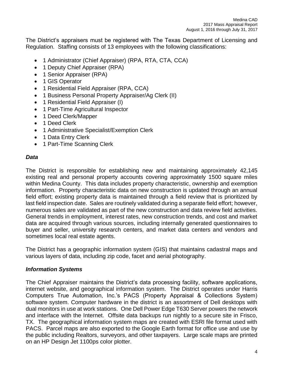The District's appraisers must be registered with The Texas Department of Licensing and Regulation. Staffing consists of 13 employees with the following classifications:

- 1 Administrator (Chief Appraiser) (RPA, RTA, CTA, CCA)
- 1 Deputy Chief Appraiser (RPA)
- 1 Senior Appraiser (RPA)
- 1 GIS Operator
- 1 Residential Field Appraiser (RPA, CCA)
- 1 Business Personal Property Appraiser/Ag Clerk (II)
- 1 Residential Field Appraiser (I)
- 1 Part-Time Agricultural Inspector
- 1 Deed Clerk/Mapper
- 1 Deed Clerk
- 1 Administrative Specialist/Exemption Clerk
- 1 Data Entry Clerk
- 1 Part-Time Scanning Clerk

## *Data*

The District is responsible for establishing new and maintaining approximately 42,145 existing real and personal property accounts covering approximately 1500 square miles within Medina County. This data includes property characteristic, ownership and exemption information. Property characteristic data on new construction is updated through an annual field effort; existing property data is maintained through a field review that is prioritized by last field inspection date. Sales are routinely validated during a separate field effort; however, numerous sales are validated as part of the new construction and data review field activities. General trends in employment, interest rates, new construction trends, and cost and market data are acquired through various sources, including internally generated questionnaires to buyer and seller, university research centers, and market data centers and vendors and sometimes local real estate agents.

The District has a geographic information system (GIS) that maintains cadastral maps and various layers of data, including zip code, facet and aerial photography.

## *Information Systems*

The Chief Appraiser maintains the District's data processing facility, software applications, internet website, and geographical information system. The District operates under Harris Computers True Automation, Inc.'s PACS (Property Appraisal & Collections System) software system. Computer hardware in the district is an assortment of Dell desktops with dual monitors in use at work stations. One Dell Power Edge T630 Server powers the network and interface with the Internet. Offsite data backups run nightly to a secure site in Frisco, TX. The geographical information system maps are created with ESRI file format used with PACS. Parcel maps are also exported to the Google Earth format for office use and use by the public including Realtors, surveyors, and other taxpayers. Large scale maps are printed on an HP Design Jet 1100ps color plotter.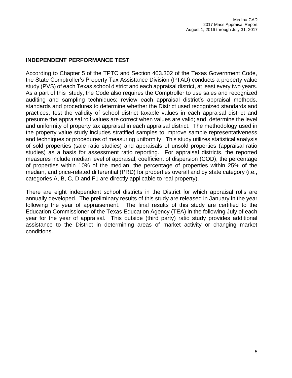## **INDEPENDENT PERFORMANCE TEST**

According to Chapter 5 of the TPTC and Section 403.302 of the Texas Government Code, the State Comptroller's Property Tax Assistance Division (PTAD) conducts a property value study (PVS) of each Texas school district and each appraisal district, at least every two years. As a part of this study, the Code also requires the Comptroller to use sales and recognized auditing and sampling techniques; review each appraisal district's appraisal methods, standards and procedures to determine whether the District used recognized standards and practices, test the validity of school district taxable values in each appraisal district and presume the appraisal roll values are correct when values are valid; and, determine the level and uniformity of property tax appraisal in each appraisal district. The methodology used in the property value study includes stratified samples to improve sample representativeness and techniques or procedures of measuring uniformity. This study utilizes statistical analysis of sold properties (sale ratio studies) and appraisals of unsold properties (appraisal ratio studies) as a basis for assessment ratio reporting. For appraisal districts, the reported measures include median level of appraisal, coefficient of dispersion (COD), the percentage of properties within 10% of the median, the percentage of properties within 25% of the median, and price-related differential (PRD) for properties overall and by state category (i.e., categories A, B, C, D and F1 are directly applicable to real property).

There are eight independent school districts in the District for which appraisal rolls are annually developed. The preliminary results of this study are released in January in the year following the year of appraisement. The final results of this study are certified to the Education Commissioner of the Texas Education Agency (TEA) in the following July of each year for the year of appraisal. This outside (third party) ratio study provides additional assistance to the District in determining areas of market activity or changing market conditions.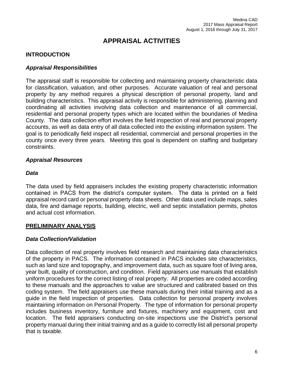# **APPRAISAL ACTIVITIES**

## **INTRODUCTION**

## *Appraisal Responsibilities*

The appraisal staff is responsible for collecting and maintaining property characteristic data for classification, valuation, and other purposes. Accurate valuation of real and personal property by any method requires a physical description of personal property, land and building characteristics. This appraisal activity is responsible for administering, planning and coordinating all activities involving data collection and maintenance of all commercial, residential and personal property types which are located within the boundaries of Medina County. The data collection effort involves the field inspection of real and personal property accounts, as well as data entry of all data collected into the existing information system. The goal is to periodically field inspect all residential, commercial and personal properties in the county once every three years. Meeting this goal is dependent on staffing and budgetary constraints.

## *Appraisal Resources*

#### *Data*

The data used by field appraisers includes the existing property characteristic information contained in PACS from the district's computer system. The data is printed on a field appraisal record card or personal property data sheets. Other data used include maps, sales data, fire and damage reports, building, electric, well and septic installation permits, photos and actual cost information.

## **PRELIMINARY ANALYSIS**

## *Data Collection/Validation*

Data collection of real property involves field research and maintaining data characteristics of the property in PACS. The information contained in PACS includes site characteristics, such as land size and topography, and improvement data, such as square foot of living area, year built, quality of construction, and condition. Field appraisers use manuals that establish uniform procedures for the correct listing of real property. All properties are coded according to these manuals and the approaches to value are structured and calibrated based on this coding system. The field appraisers use these manuals during their initial training and as a guide in the field inspection of properties. Data collection for personal property involves maintaining information on Personal Property. The type of information for personal property includes business inventory, furniture and fixtures, machinery and equipment, cost and location. The field appraisers conducting on-site inspections use the District's personal property manual during their initial training and as a guide to correctly list all personal property that is taxable.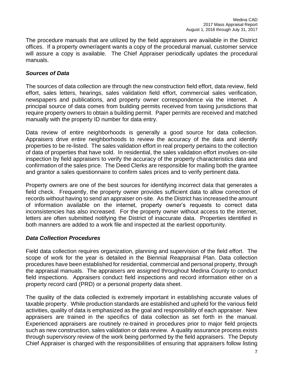The procedure manuals that are utilized by the field appraisers are available in the District offices. If a property owner/agent wants a copy of the procedural manual, customer service will assure a copy is available. The Chief Appraiser periodically updates the procedural manuals.

## *Sources of Data*

The sources of data collection are through the new construction field effort, data review, field effort, sales letters, hearings, sales validation field effort, commercial sales verification, newspapers and publications, and property owner correspondence via the internet. A principal source of data comes from building permits received from taxing jurisdictions that require property owners to obtain a building permit. Paper permits are received and matched manually with the property ID number for data entry.

Data review of entire neighborhoods is generally a good source for data collection. Appraisers drive entire neighborhoods to review the accuracy of the data and identify properties to be re-listed. The sales validation effort in real property pertains to the collection of data of properties that have sold. In residential, the sales validation effort involves on-site inspection by field appraisers to verify the accuracy of the property characteristics data and confirmation of the sales price. The Deed Clerks are responsible for mailing both the grantee and grantor a sales questionnaire to confirm sales prices and to verify pertinent data.

Property owners are one of the best sources for identifying incorrect data that generates a field check. Frequently, the property owner provides sufficient data to allow correction of records without having to send an appraiser on-site. As the District has increased the amount of information available on the internet, property owner's requests to correct data inconsistencies has also increased. For the property owner without access to the internet, letters are often submitted notifying the District of inaccurate data. Properties identified in both manners are added to a work file and inspected at the earliest opportunity.

## *Data Collection Procedures*

Field data collection requires organization, planning and supervision of the field effort. The scope of work for the year is detailed in the Biennial Reappraisal Plan. Data collection procedures have been established for residential, commercial and personal property, through the appraisal manuals. The appraisers are assigned throughout Medina County to conduct field inspections. Appraisers conduct field inspections and record information either on a property record card (PRD) or a personal property data sheet.

The quality of the data collected is extremely important in establishing accurate values of taxable property. While production standards are established and upheld for the various field activities, quality of data is emphasized as the goal and responsibility of each appraiser. New appraisers are trained in the specifics of data collection as set forth in the manual. Experienced appraisers are routinely re-trained in procedures prior to major field projects such as new construction, sales validation or data review. A quality assurance process exists through supervisory review of the work being performed by the field appraisers. The Deputy Chief Appraiser is charged with the responsibilities of ensuring that appraisers follow listing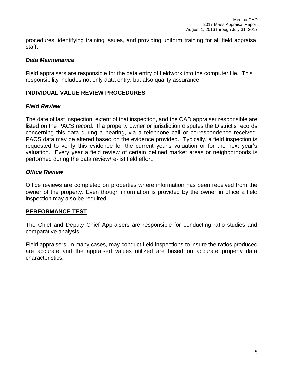procedures, identifying training issues, and providing uniform training for all field appraisal staff.

## *Data Maintenance*

Field appraisers are responsible for the data entry of fieldwork into the computer file. This responsibility includes not only data entry, but also quality assurance.

## **INDIVIDUAL VALUE REVIEW PROCEDURES**

## *Field Review*

The date of last inspection, extent of that inspection, and the CAD appraiser responsible are listed on the PACS record. If a property owner or jurisdiction disputes the District's records concerning this data during a hearing, via a telephone call or correspondence received, PACS data may be altered based on the evidence provided. Typically, a field inspection is requested to verify this evidence for the current year's valuation or for the next year's valuation. Every year a field review of certain defined market areas or neighborhoods is performed during the data review/re-list field effort.

## *Office Review*

Office reviews are completed on properties where information has been received from the owner of the property. Even though information is provided by the owner in office a field inspection may also be required.

#### **PERFORMANCE TEST**

The Chief and Deputy Chief Appraisers are responsible for conducting ratio studies and comparative analysis.

Field appraisers, in many cases, may conduct field inspections to insure the ratios produced are accurate and the appraised values utilized are based on accurate property data characteristics.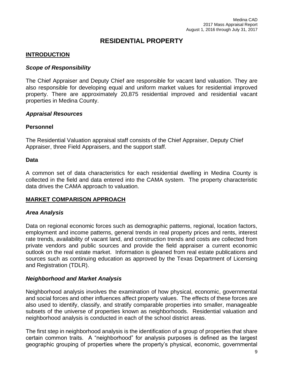## **RESIDENTIAL PROPERTY**

## **INTRODUCTION**

#### *Scope of Responsibility*

The Chief Appraiser and Deputy Chief are responsible for vacant land valuation. They are also responsible for developing equal and uniform market values for residential improved property. There are approximately 20,875 residential improved and residential vacant properties in Medina County.

#### *Appraisal Resources*

#### **Personnel**

The Residential Valuation appraisal staff consists of the Chief Appraiser, Deputy Chief Appraiser, three Field Appraisers, and the support staff.

#### **Data**

A common set of data characteristics for each residential dwelling in Medina County is collected in the field and data entered into the CAMA system. The property characteristic data drives the CAMA approach to valuation.

## **MARKET COMPARISON APPROACH**

## *Area Analysis*

Data on regional economic forces such as demographic patterns, regional, location factors, employment and income patterns, general trends in real property prices and rents, interest rate trends, availability of vacant land, and construction trends and costs are collected from private vendors and public sources and provide the field appraiser a current economic outlook on the real estate market. Information is gleaned from real estate publications and sources such as continuing education as approved by the Texas Department of Licensing and Registration (TDLR).

## *Neighborhood and Market Analysis*

Neighborhood analysis involves the examination of how physical, economic, governmental and social forces and other influences affect property values. The effects of these forces are also used to identify, classify, and stratify comparable properties into smaller, manageable subsets of the universe of properties known as neighborhoods. Residential valuation and neighborhood analysis is conducted in each of the school district areas.

The first step in neighborhood analysis is the identification of a group of properties that share certain common traits. A "neighborhood" for analysis purposes is defined as the largest geographic grouping of properties where the property's physical, economic, governmental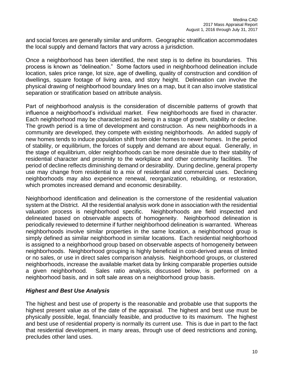and social forces are generally similar and uniform. Geographic stratification accommodates the local supply and demand factors that vary across a jurisdiction.

Once a neighborhood has been identified, the next step is to define its boundaries. This process is known as "delineation." Some factors used in neighborhood delineation include location, sales price range, lot size, age of dwelling, quality of construction and condition of dwellings, square footage of living area, and story height. Delineation can involve the physical drawing of neighborhood boundary lines on a map, but it can also involve statistical separation or stratification based on attribute analysis.

Part of neighborhood analysis is the consideration of discernible patterns of growth that influence a neighborhood's individual market. Few neighborhoods are fixed in character. Each neighborhood may be characterized as being in a stage of growth, stability or decline. The growth period is a time of development and construction. As new neighborhoods in a community are developed, they compete with existing neighborhoods. An added supply of new homes tends to induce population shift from older homes to newer homes. In the period of stability, or equilibrium, the forces of supply and demand are about equal. Generally, in the stage of equilibrium, older neighborhoods can be more desirable due to their stability of residential character and proximity to the workplace and other community facilities. The period of decline reflects diminishing demand or desirability. During decline, general property use may change from residential to a mix of residential and commercial uses. Declining neighborhoods may also experience renewal, reorganization, rebuilding, or restoration, which promotes increased demand and economic desirability.

Neighborhood identification and delineation is the cornerstone of the residential valuation system at the District. All the residential analysis work done in association with the residential valuation process is neighborhood specific. Neighborhoods are field inspected and delineated based on observable aspects of homogeneity. Neighborhood delineation is periodically reviewed to determine if further neighborhood delineation is warranted. Whereas neighborhoods involve similar properties in the same location, a neighborhood group is simply defined as similar neighborhood in similar locations. Each residential neighborhood is assigned to a neighborhood group based on observable aspects of homogeneity between neighborhoods. Neighborhood grouping is highly beneficial in cost-derived areas of limited or no sales, or use in direct sales comparison analysis. Neighborhood groups, or clustered neighborhoods, increase the available market data by linking comparable properties outside a given neighborhood. Sales ratio analysis, discussed below, is performed on a neighborhood basis, and in soft sale areas on a neighborhood group basis.

## *Highest and Best Use Analysis*

The highest and best use of property is the reasonable and probable use that supports the highest present value as of the date of the appraisal. The highest and best use must be physically possible, legal, financially feasible, and productive to its maximum. The highest and best use of residential property is normally its current use. This is due in part to the fact that residential development, in many areas, through use of deed restrictions and zoning, precludes other land uses.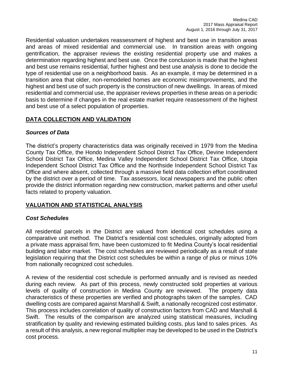Residential valuation undertakes reassessment of highest and best use in transition areas and areas of mixed residential and commercial use. In transition areas with ongoing gentrification, the appraiser reviews the existing residential property use and makes a determination regarding highest and best use. Once the conclusion is made that the highest and best use remains residential, further highest and best use analysis is done to decide the type of residential use on a neighborhood basis. As an example, it may be determined in a transition area that older, non-remodeled homes are economic misimprovements, and the highest and best use of such property is the construction of new dwellings. In areas of mixed residential and commercial use, the appraiser reviews properties in these areas on a periodic basis to determine if changes in the real estate market require reassessment of the highest and best use of a select population of properties.

## **DATA COLLECTION AND VALIDATION**

## *Sources of Data*

The district's property characteristics data was originally received in 1979 from the Medina County Tax Office, the Hondo Independent School District Tax Office, Devine Independent School District Tax Office, Medina Valley Independent School District Tax Office, Utopia Independent School District Tax Office and the Northside Independent School District Tax Office and where absent, collected through a massive field data collection effort coordinated by the district over a period of time. Tax assessors, local newspapers and the public often provide the district information regarding new construction, market patterns and other useful facts related to property valuation.

## **VALUATION AND STATISTICAL ANALYSIS**

## *Cost Schedules*

All residential parcels in the District are valued from identical cost schedules using a comparative unit method. The District's residential cost schedules, originally adopted from a private mass appraisal firm, have been customized to fit Medina County's local residential building and labor market. The cost schedules are reviewed periodically as a result of state legislation requiring that the District cost schedules be within a range of plus or minus 10% from nationally recognized cost schedules.

A review of the residential cost schedule is performed annually and is revised as needed during each review. As part of this process, newly constructed sold properties at various levels of quality of construction in Medina County are reviewed. The property data characteristics of these properties are verified and photographs taken of the samples. CAD dwelling costs are compared against Marshall & Swift, a nationally recognized cost estimator. This process includes correlation of quality of construction factors from CAD and Marshall & Swift. The results of the comparison are analyzed using statistical measures, including stratification by quality and reviewing estimated building costs, plus land to sales prices. As a result of this analysis, a new regional multiplier may be developed to be used in the District's cost process.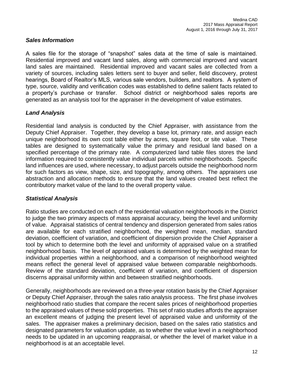## *Sales Information*

A sales file for the storage of "snapshot" sales data at the time of sale is maintained. Residential improved and vacant land sales, along with commercial improved and vacant land sales are maintained. Residential improved and vacant sales are collected from a variety of sources, including sales letters sent to buyer and seller, field discovery, protest hearings, Board of Realtor's MLS, various sale vendors, builders, and realtors. A system of type, source, validity and verification codes was established to define salient facts related to a property's purchase or transfer. School district or neighborhood sales reports are generated as an analysis tool for the appraiser in the development of value estimates.

## *Land Analysis*

Residential land analysis is conducted by the Chief Appraiser, with assistance from the Deputy Chief Appraiser. Together, they develop a base lot, primary rate, and assign each unique neighborhood its own cost table either by acres, square foot, or site value. These tables are designed to systematically value the primary and residual land based on a specified percentage of the primary rate. A computerized land table files stores the land information required to consistently value individual parcels within neighborhoods. Specific land influences are used, where necessary, to adjust parcels outside the neighborhood norm for such factors as view, shape, size, and topography, among others. The appraisers use abstraction and allocation methods to ensure that the land values created best reflect the contributory market value of the land to the overall property value.

## *Statistical Analysis*

Ratio studies are conducted on each of the residential valuation neighborhoods in the District to judge the two primary aspects of mass appraisal accuracy, being the level and uniformity of value. Appraisal statistics of central tendency and dispersion generated from sales ratios are available for each stratified neighborhood, the weighted mean, median, standard deviation, coefficient of variation, and coefficient of dispersion provide the Chief Appraiser a tool by which to determine both the level and uniformity of appraised value on a stratified neighborhood basis. The level of appraised values is determined by the weighted mean for individual properties within a neighborhood, and a comparison of neighborhood weighted means reflect the general level of appraised value between comparable neighborhoods. Review of the standard deviation, coefficient of variation, and coefficient of dispersion discerns appraisal uniformity within and between stratified neighborhoods.

Generally, neighborhoods are reviewed on a three-year rotation basis by the Chief Appraiser or Deputy Chief Appraiser, through the sales ratio analysis process. The first phase involves neighborhood ratio studies that compare the recent sales prices of neighborhood properties to the appraised values of these sold properties. This set of ratio studies affords the appraiser an excellent means of judging the present level of appraised value and uniformity of the sales. The appraiser makes a preliminary decision, based on the sales ratio statistics and designated parameters for valuation update, as to whether the value level in a neighborhood needs to be updated in an upcoming reappraisal, or whether the level of market value in a neighborhood is at an acceptable level.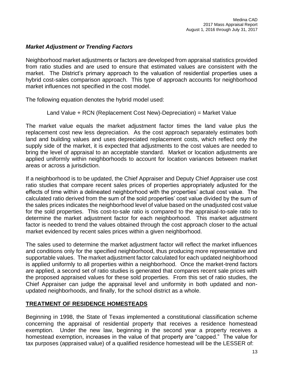## *Market Adjustment or Trending Factors*

Neighborhood market adjustments or factors are developed from appraisal statistics provided from ratio studies and are used to ensure that estimated values are consistent with the market. The District's primary approach to the valuation of residential properties uses a hybrid cost-sales comparison approach. This type of approach accounts for neighborhood market influences not specified in the cost model.

The following equation denotes the hybrid model used:

## Land Value + RCN (Replacement Cost New)-Depreciation) = Market Value

The market value equals the market adjustment factor times the land value plus the replacement cost new less depreciation. As the cost approach separately estimates both land and building values and uses depreciated replacement costs, which reflect only the supply side of the market, it is expected that adjustments to the cost values are needed to bring the level of appraisal to an acceptable standard. Market or location adjustments are applied uniformly within neighborhoods to account for location variances between market areas or across a jurisdiction.

If a neighborhood is to be updated, the Chief Appraiser and Deputy Chief Appraiser use cost ratio studies that compare recent sales prices of properties appropriately adjusted for the effects of time within a delineated neighborhood with the properties' actual cost value. The calculated ratio derived from the sum of the sold properties' cost value divided by the sum of the sales prices indicates the neighborhood level of value based on the unadjusted cost value for the sold properties. This cost-to-sale ratio is compared to the appraisal-to-sale ratio to determine the market adjustment factor for each neighborhood. This market adjustment factor is needed to trend the values obtained through the cost approach closer to the actual market evidenced by recent sales prices within a given neighborhood.

The sales used to determine the market adjustment factor will reflect the market influences and conditions only for the specified neighborhood, thus producing more representative and supportable values. The market adjustment factor calculated for each updated neighborhood is applied uniformly to all properties within a neighborhood. Once the market-trend factors are applied, a second set of ratio studies is generated that compares recent sale prices with the proposed appraised values for these sold properties. From this set of ratio studies, the Chief Appraiser can judge the appraisal level and uniformity in both updated and nonupdated neighborhoods, and finally, for the school district as a whole.

## **TREATMENT OF RESIDENCE HOMESTEADS**

Beginning in 1998, the State of Texas implemented a constitutional classification scheme concerning the appraisal of residential property that receives a residence homestead exemption. Under the new law, beginning in the second year a property receives a homestead exemption, increases in the value of that property are "capped." The value for tax purposes (appraised value) of a qualified residence homestead will be the LESSER of: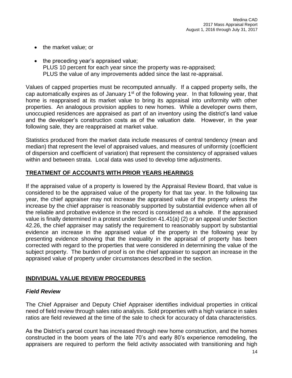- the market value; or
- the preceding year's appraised value; PLUS 10 percent for each year since the property was re-appraised; PLUS the value of any improvements added since the last re-appraisal.

Values of capped properties must be recomputed annually. If a capped property sells, the cap automatically expires as of January  $1<sup>st</sup>$  of the following year. In that following year, that home is reappraised at its market value to bring its appraisal into uniformity with other properties. An analogous provision applies to new homes. While a developer owns them, unoccupied residences are appraised as part of an inventory using the district's land value and the developer's construction costs as of the valuation date. However, in the year following sale, they are reappraised at market value.

Statistics produced from the market data include measures of central tendency (mean and median) that represent the level of appraised values, and measures of uniformity (coefficient of dispersion and coefficient of variation) that represent the consistency of appraised values within and between strata. Local data was used to develop time adjustments.

## **TREATMENT OF ACCOUNTS WITH PRIOR YEARS HEARINGS**

If the appraised value of a property is lowered by the Appraisal Review Board, that value is considered to be the appraised value of the property for that tax year. In the following tax year, the chief appraiser may not increase the appraised value of the property unless the increase by the chief appraiser is reasonably supported by substantial evidence when all of the reliable and probative evidence in the record is considered as a whole. If the appraised value is finally determined in a protest under Section 41.41(a) (2) or an appeal under Section 42.26, the chief appraiser may satisfy the requirement to reasonably support by substantial evidence an increase in the appraised value of the property in the following year by presenting evidence showing that the inequality in the appraisal of property has been corrected with regard to the properties that were considered in determining the value of the subject property. The burden of proof is on the chief appraiser to support an increase in the appraised value of property under circumstances described in the section.

## **INDIVIDUAL VALUE REVIEW PROCEDURES**

## *Field Review*

The Chief Appraiser and Deputy Chief Appraiser identifies individual properties in critical need of field review through sales ratio analysis. Sold properties with a high variance in sales ratios are field reviewed at the time of the sale to check for accuracy of data characteristics.

As the District's parcel count has increased through new home construction, and the homes constructed in the boom years of the late 70's and early 80's experience remodeling, the appraisers are required to perform the field activity associated with transitioning and high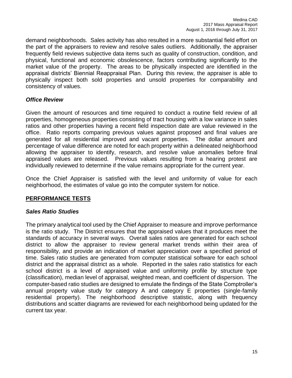demand neighborhoods. Sales activity has also resulted in a more substantial field effort on the part of the appraisers to review and resolve sales outliers. Additionally, the appraiser frequently field reviews subjective data items such as quality of construction, condition, and physical, functional and economic obsolescence, factors contributing significantly to the market value of the property. The areas to be physically inspected are identified in the appraisal districts' Biennial Reappraisal Plan. During this review, the appraiser is able to physically inspect both sold properties and unsold properties for comparability and consistency of values.

## *Office Review*

Given the amount of resources and time required to conduct a routine field review of all properties, homogeneous properties consisting of tract housing with a low variance in sales ratios and other properties having a recent field inspection date are value reviewed in the office. Ratio reports comparing previous values against proposed and final values are generated for all residential improved and vacant properties. The dollar amount and percentage of value difference are noted for each property within a delineated neighborhood allowing the appraiser to identify, research, and resolve value anomalies before final appraised values are released. Previous values resulting from a hearing protest are individually reviewed to determine if the value remains appropriate for the current year.

Once the Chief Appraiser is satisfied with the level and uniformity of value for each neighborhood, the estimates of value go into the computer system for notice.

## **PERFORMANCE TESTS**

## *Sales Ratio Studies*

The primary analytical tool used by the Chief Appraiser to measure and improve performance is the ratio study. The District ensures that the appraised values that it produces meet the standards of accuracy in several ways. Overall sales ratios are generated for each school district to allow the appraiser to review general market trends within their area of responsibility, and provide an indication of market appreciation over a specified period of time. Sales ratio studies are generated from computer statistical software for each school district and the appraisal district as a whole. Reported in the sales ratio statistics for each school district is a level of appraised value and uniformity profile by structure type (classification), median level of appraisal, weighted mean, and coefficient of dispersion. The computer-based ratio studies are designed to emulate the findings of the State Comptroller's annual property value study for category A and category E properties (single-family residential property). The neighborhood descriptive statistic, along with frequency distributions and scatter diagrams are reviewed for each neighborhood being updated for the current tax year.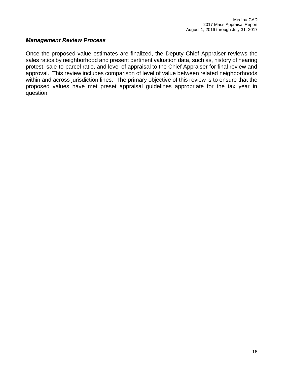## *Management Review Process*

Once the proposed value estimates are finalized, the Deputy Chief Appraiser reviews the sales ratios by neighborhood and present pertinent valuation data, such as, history of hearing protest, sale-to-parcel ratio, and level of appraisal to the Chief Appraiser for final review and approval. This review includes comparison of level of value between related neighborhoods within and across jurisdiction lines. The primary objective of this review is to ensure that the proposed values have met preset appraisal guidelines appropriate for the tax year in question.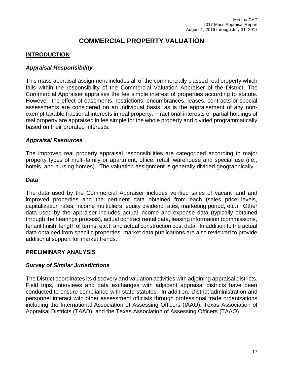## **COMMERCIAL PROPERTY VALUATION**

## **INTRODUCTION**

## *Appraisal Responsibility*

This mass appraisal assignment includes all of the commercially classed real property which falls within the responsibility of the Commercial Valuation Appraiser of the District. The Commercial Appraiser appraises the fee simple interest of properties according to statute. However, the effect of easements, restrictions, encumbrances, leases, contracts or special assessments are considered on an individual basis, as is the appraisement of any nonexempt taxable fractional interests in real property. Fractional interests or partial holdings of real property are appraised in fee simple for the whole property and divided programmatically based on their prorated interests.

#### *Appraisal Resources*

The improved real property appraisal responsibilities are categorized according to major property types of multi-family or apartment, office, retail, warehouse and special use (i.e., hotels, and nursing homes). The valuation assignment is generally divided geographically.

#### **Data**

The data used by the Commercial Appraiser includes verified sales of vacant land and improved properties and the pertinent data obtained from each (sales price levels, capitalization rates, income multipliers, equity dividend rates, marketing period, etc.). Other data used by the appraiser includes actual income and expense data (typically obtained through the hearings process), actual contract rental data, leasing information (commissions, tenant finish, length of terms, etc.), and actual construction cost data. In addition to the actual data obtained from specific properties, market data publications are also reviewed to provide additional support for market trends.

## **PRELIMINARY ANALYSIS**

## *Survey of Similar Jurisdictions*

The District coordinates its discovery and valuation activities with adjoining appraisal districts. Field trips, interviews and data exchanges with adjacent appraisal districts have been conducted to ensure compliance with state statutes. In addition, District administration and personnel interact with other assessment officials through professional trade organizations including the International Association of Assessing Officers (IAAO), Texas Association of Appraisal Districts (TAAD), and the Texas Association of Assessing Officers (TAAO)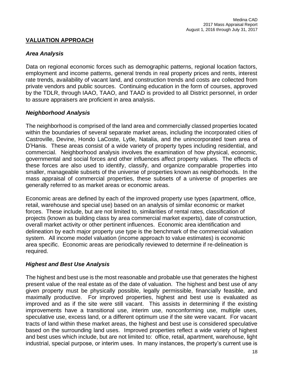## **VALUATION APPROACH**

## *Area Analysis*

Data on regional economic forces such as demographic patterns, regional location factors, employment and income patterns, general trends in real property prices and rents, interest rate trends, availability of vacant land, and construction trends and costs are collected from private vendors and public sources. Continuing education in the form of courses, approved by the TDLR, through IAAO, TAAO, and TAAD is provided to all District personnel, in order to assure appraisers are proficient in area analysis.

## *Neighborhood Analysis*

The neighborhood is comprised of the land area and commercially classed properties located within the boundaries of several separate market areas, including the incorporated cities of Castroville, Devine, Hondo LaCoste, Lytle, Natalia, and the unincorporated town area of D'Hanis. These areas consist of a wide variety of property types including residential, and commercial. Neighborhood analysis involves the examination of how physical, economic, governmental and social forces and other influences affect property values. The effects of these forces are also used to identify, classify, and organize comparable properties into smaller, manageable subsets of the universe of properties known as neighborhoods. In the mass appraisal of commercial properties, these subsets of a universe of properties are generally referred to as market areas or economic areas.

Economic areas are defined by each of the improved property use types (apartment, office, retail, warehouse and special use) based on an analysis of similar economic or market forces. These include, but are not limited to, similarities of rental rates, classification of projects (known as building class by area commercial market experts), date of construction, overall market activity or other pertinent influences. Economic area identification and delineation by each major property use type is the benchmark of the commercial valuation system. All income model valuation (income approach to value estimates) is economic area specific. Economic areas are periodically reviewed to determine if re-delineation is required.

## *Highest and Best Use Analysis*

The highest and best use is the most reasonable and probable use that generates the highest present value of the real estate as of the date of valuation. The highest and best use of any given property must be physically possible, legally permissible, financially feasible, and maximally productive. For improved properties, highest and best use is evaluated as improved and as if the site were still vacant. This assists in determining if the existing improvements have a transitional use, interim use, nonconforming use, multiple uses, speculative use, excess land, or a different optimum use if the site were vacant. For vacant tracts of land within these market areas, the highest and best use is considered speculative based on the surrounding land uses. Improved properties reflect a wide variety of highest and best uses which include, but are not limited to: office, retail, apartment, warehouse, light industrial, special purpose, or interim uses. In many instances, the property's current use is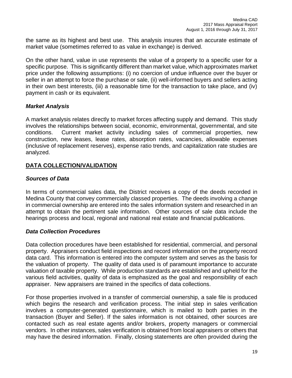the same as its highest and best use. This analysis insures that an accurate estimate of market value (sometimes referred to as value in exchange) is derived.

On the other hand, value in use represents the value of a property to a specific user for a specific purpose. This is significantly different than market value, which approximates market price under the following assumptions: (i) no coercion of undue influence over the buyer or seller in an attempt to force the purchase or sale, (ii) well-informed buyers and sellers acting in their own best interests, (iii) a reasonable time for the transaction to take place, and (iv) payment in cash or its equivalent.

## *Market Analysis*

A market analysis relates directly to market forces affecting supply and demand. This study involves the relationships between social, economic, environmental, governmental, and site conditions. Current market activity including sales of commercial properties, new construction, new leases, lease rates, absorption rates, vacancies, allowable expenses (inclusive of replacement reserves), expense ratio trends, and capitalization rate studies are analyzed.

## **DATA COLLECTION/VALIDATION**

## *Sources of Data*

In terms of commercial sales data, the District receives a copy of the deeds recorded in Medina County that convey commercially classed properties. The deeds involving a change in commercial ownership are entered into the sales information system and researched in an attempt to obtain the pertinent sale information. Other sources of sale data include the hearings process and local, regional and national real estate and financial publications.

## *Data Collection Procedures*

Data collection procedures have been established for residential, commercial, and personal property. Appraisers conduct field inspections and record information on the property record data card. This information is entered into the computer system and serves as the basis for the valuation of property. The quality of data used is of paramount importance to accurate valuation of taxable property. While production standards are established and upheld for the various field activities, quality of data is emphasized as the goal and responsibility of each appraiser. New appraisers are trained in the specifics of data collections.

For those properties involved in a transfer of commercial ownership, a sale file is produced which begins the research and verification process. The initial step in sales verification involves a computer-generated questionnaire, which is mailed to both parties in the transaction (Buyer and Seller). If the sales information is not obtained, other sources are contacted such as real estate agents and/or brokers, property managers or commercial vendors. In other instances, sales verification is obtained from local appraisers or others that may have the desired information. Finally, closing statements are often provided during the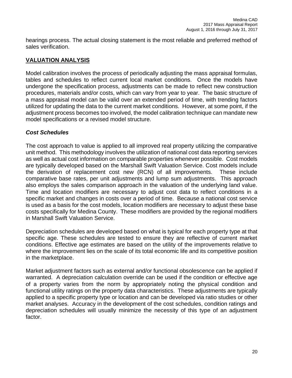hearings process. The actual closing statement is the most reliable and preferred method of sales verification.

## **VALUATION ANALYSIS**

Model calibration involves the process of periodically adjusting the mass appraisal formulas, tables and schedules to reflect current local market conditions. Once the models have undergone the specification process, adjustments can be made to reflect new construction procedures, materials and/or costs, which can vary from year to year. The basic structure of a mass appraisal model can be valid over an extended period of time, with trending factors utilized for updating the data to the current market conditions. However, at some point, if the adjustment process becomes too involved, the model calibration technique can mandate new model specifications or a revised model structure.

## *Cost Schedules*

The cost approach to value is applied to all improved real property utilizing the comparative unit method. This methodology involves the utilization of national cost data reporting services as well as actual cost information on comparable properties whenever possible. Cost models are typically developed based on the Marshall Swift Valuation Service. Cost models include the derivation of replacement cost new (RCN) of all improvements. These include comparative base rates, per unit adjustments and lump sum adjustments. This approach also employs the sales comparison approach in the valuation of the underlying land value. Time and location modifiers are necessary to adjust cost data to reflect conditions in a specific market and changes in costs over a period of time. Because a national cost service is used as a basis for the cost models, location modifiers are necessary to adjust these base costs specifically for Medina County. These modifiers are provided by the regional modifiers in Marshall Swift Valuation Service.

Depreciation schedules are developed based on what is typical for each property type at that specific age. These schedules are tested to ensure they are reflective of current market conditions. Effective age estimates are based on the utility of the improvements relative to where the improvement lies on the scale of its total economic life and its competitive position in the marketplace.

Market adjustment factors such as external and/or functional obsolescence can be applied if warranted. A depreciation calculation override can be used if the condition or effective age of a property varies from the norm by appropriately noting the physical condition and functional utility ratings on the property data characteristics. These adjustments are typically applied to a specific property type or location and can be developed via ratio studies or other market analyses. Accuracy in the development of the cost schedules, condition ratings and depreciation schedules will usually minimize the necessity of this type of an adjustment factor.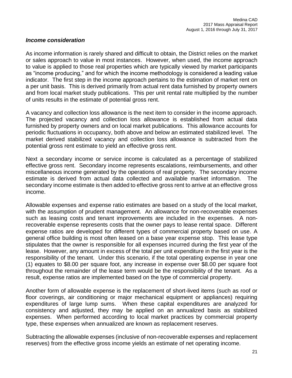## *Income consideration*

As income information is rarely shared and difficult to obtain, the District relies on the market or sales approach to value in most instances. However, when used, the income approach to value is applied to those real properties which are typically viewed by market participants as "income producing," and for which the income methodology is considered a leading value indicator. The first step in the income approach pertains to the estimation of market rent on a per unit basis. This is derived primarily from actual rent data furnished by property owners and from local market study publications. This per unit rental rate multiplied by the number of units results in the estimate of potential gross rent.

A vacancy and collection loss allowance is the next item to consider in the income approach. The projected vacancy and collection loss allowance is established from actual data furnished by property owners and on local market publications. This allowance accounts for periodic fluctuations in occupancy, both above and below an estimated stabilized level. The market derived stabilized vacancy and collection loss allowance is subtracted from the potential gross rent estimate to yield an effective gross rent.

Next a secondary income or service income is calculated as a percentage of stabilized effective gross rent. Secondary income represents escalations, reimbursements, and other miscellaneous income generated by the operations of real property. The secondary income estimate is derived from actual data collected and available market information. The secondary income estimate is then added to effective gross rent to arrive at an effective gross income.

Allowable expenses and expense ratio estimates are based on a study of the local market, with the assumption of prudent management. An allowance for non-recoverable expenses such as leasing costs and tenant improvements are included in the expenses. A nonrecoverable expense represents costs that the owner pays to lease rental space. Different expense ratios are developed for different types of commercial property based on use. A general office building is most often leased on a base year expense stop. This lease type stipulates that the owner is responsible for all expenses incurred during the first year of the lease. However, any amount in excess of the total per unit expenditure in the first year is the responsibility of the tenant. Under this scenario, if the total operating expense in year one (1) equates to \$8.00 per square foot, any increase in expense over \$8.00 per square foot throughout the remainder of the lease term would be the responsibility of the tenant. As a result, expense ratios are implemented based on the type of commercial property.

Another form of allowable expense is the replacement of short-lived items (such as roof or floor coverings, air conditioning or major mechanical equipment or appliances) requiring expenditures of large lump sums. When these capital expenditures are analyzed for consistency and adjusted, they may be applied on an annualized basis as stabilized expenses. When performed according to local market practices by commercial property type, these expenses when annualized are known as replacement reserves.

Subtracting the allowable expenses (inclusive of non-recoverable expenses and replacement reserves) from the effective gross income yields an estimate of net operating income.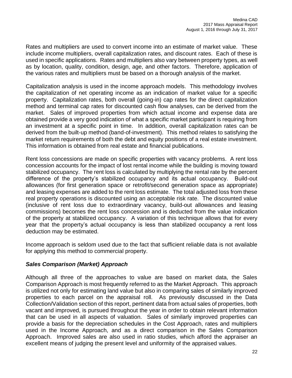Rates and multipliers are used to convert income into an estimate of market value. These include income multipliers, overall capitalization rates, and discount rates. Each of these is used in specific applications. Rates and multipliers also vary between property types, as well as by location, quality, condition, design, age, and other factors. Therefore, application of the various rates and multipliers must be based on a thorough analysis of the market.

Capitalization analysis is used in the income approach models. This methodology involves the capitalization of net operating income as an indication of market value for a specific property. Capitalization rates, both overall (going-in) cap rates for the direct capitalization method and terminal cap rates for discounted cash flow analyses, can be derived from the market. Sales of improved properties from which actual income and expense data are obtained provide a very good indication of what a specific market participant is requiring from an investment at a specific point in time. In addition, overall capitalization rates can be derived from the built-up method (band-of-investment). This method relates to satisfying the market return requirements of both the debt and equity positions of a real estate investment. This information is obtained from real estate and financial publications.

Rent loss concessions are made on specific properties with vacancy problems. A rent loss concession accounts for the impact of lost rental income while the building is moving toward stabilized occupancy. The rent loss is calculated by multiplying the rental rate by the percent difference of the property's stabilized occupancy and its actual occupancy. Build-out allowances (for first generation space or retrofit/second generation space as appropriate) and leasing expenses are added to the rent loss estimate. The total adjusted loss from these real property operations is discounted using an acceptable risk rate. The discounted value (inclusive of rent loss due to extraordinary vacancy, build-out allowances and leasing commissions) becomes the rent loss concession and is deducted from the value indication of the property at stabilized occupancy. A variation of this technique allows that for every year that the property's actual occupancy is less than stabilized occupancy a rent loss deduction may be estimated.

Income approach is seldom used due to the fact that sufficient reliable data is not available for applying this method to commercial property.

## *Sales Comparison (Market) Approach*

Although all three of the approaches to value are based on market data, the Sales Comparison Approach is most frequently referred to as the Market Approach. This approach is utilized not only for estimating land value but also in comparing sales of similarly improved properties to each parcel on the appraisal roll. As previously discussed in the Data Collection/Validation section of this report, pertinent data from actual sales of properties, both vacant and improved, is pursued throughout the year in order to obtain relevant information that can be used in all aspects of valuation. Sales of similarly improved properties can provide a basis for the depreciation schedules in the Cost Approach, rates and multipliers used in the Income Approach, and as a direct comparison in the Sales Comparison Approach. Improved sales are also used in ratio studies, which afford the appraiser an excellent means of judging the present level and uniformity of the appraised values.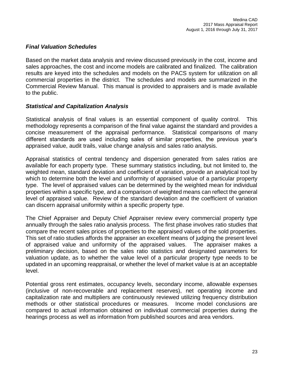## *Final Valuation Schedules*

Based on the market data analysis and review discussed previously in the cost, income and sales approaches, the cost and income models are calibrated and finalized. The calibration results are keyed into the schedules and models on the PACS system for utilization on all commercial properties in the district. The schedules and models are summarized in the Commercial Review Manual. This manual is provided to appraisers and is made available to the public.

## *Statistical and Capitalization Analysis*

Statistical analysis of final values is an essential component of quality control. This methodology represents a comparison of the final value against the standard and provides a concise measurement of the appraisal performance. Statistical comparisons of many different standards are used including sales of similar properties, the previous year's appraised value, audit trails, value change analysis and sales ratio analysis.

Appraisal statistics of central tendency and dispersion generated from sales ratios are available for each property type. These summary statistics including, but not limited to, the weighted mean, standard deviation and coefficient of variation, provide an analytical tool by which to determine both the level and uniformity of appraised value of a particular property type. The level of appraised values can be determined by the weighted mean for individual properties within a specific type, and a comparison of weighted means can reflect the general level of appraised value. Review of the standard deviation and the coefficient of variation can discern appraisal uniformity within a specific property type.

The Chief Appraiser and Deputy Chief Appraiser review every commercial property type annually through the sales ratio analysis process. The first phase involves ratio studies that compare the recent sales prices of properties to the appraised values of the sold properties. This set of ratio studies affords the appraiser an excellent means of judging the present level of appraised value and uniformity of the appraised values. The appraiser makes a preliminary decision, based on the sales ratio statistics and designated parameters for valuation update, as to whether the value level of a particular property type needs to be updated in an upcoming reappraisal, or whether the level of market value is at an acceptable level.

Potential gross rent estimates, occupancy levels, secondary income, allowable expenses (inclusive of non-recoverable and replacement reserves), net operating income and capitalization rate and multipliers are continuously reviewed utilizing frequency distribution methods or other statistical procedures or measures. Income model conclusions are compared to actual information obtained on individual commercial properties during the hearings process as well as information from published sources and area vendors.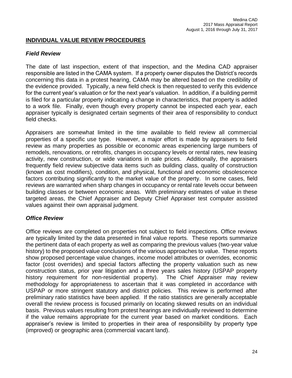## **INDIVIDUAL VALUE REVIEW PROCEDURES**

## *Field Review*

The date of last inspection, extent of that inspection, and the Medina CAD appraiser responsible are listed in the CAMA system. If a property owner disputes the District's records concerning this data in a protest hearing, CAMA may be altered based on the credibility of the evidence provided. Typically, a new field check is then requested to verify this evidence for the current year's valuation or for the next year's valuation. In addition, if a building permit is filed for a particular property indicating a change in characteristics, that property is added to a work file. Finally, even though every property cannot be inspected each year, each appraiser typically is designated certain segments of their area of responsibility to conduct field checks.

Appraisers are somewhat limited in the time available to field review all commercial properties of a specific use type. However, a major effort is made by appraisers to field review as many properties as possible or economic areas experiencing large numbers of remodels, renovations, or retrofits, changes in occupancy levels or rental rates, new leasing activity, new construction, or wide variations in sale prices. Additionally, the appraisers frequently field review subjective data items such as building class, quality of construction (known as cost modifiers), condition, and physical, functional and economic obsolescence factors contributing significantly to the market value of the property. In some cases, field reviews are warranted when sharp changes in occupancy or rental rate levels occur between building classes or between economic areas. With preliminary estimates of value in these targeted areas, the Chief Appraiser and Deputy Chief Appraiser test computer assisted values against their own appraisal judgment.

## *Office Review*

Office reviews are completed on properties not subject to field inspections. Office reviews are typically limited by the data presented in final value reports. These reports summarize the pertinent data of each property as well as comparing the previous values (two-year value history) to the proposed value conclusions of the various approaches to value. These reports show proposed percentage value changes, income model attributes or overrides, economic factor (cost overrides) and special factors affecting the property valuation such as new construction status, prior year litigation and a three years sales history (USPAP property history requirement for non-residential property). The Chief Appraiser may review methodology for appropriateness to ascertain that it was completed in accordance with USPAP or more stringent statutory and district policies. This review is performed after preliminary ratio statistics have been applied. If the ratio statistics are generally acceptable overall the review process is focused primarily on locating skewed results on an individual basis. Previous values resulting from protest hearings are individually reviewed to determine if the value remains appropriate for the current year based on market conditions. Each appraiser's review is limited to properties in their area of responsibility by property type (improved) or geographic area (commercial vacant land).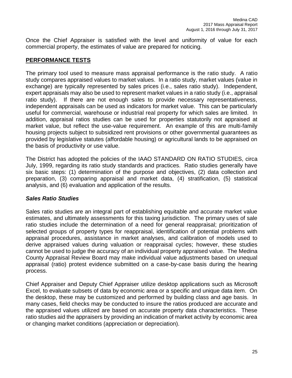Once the Chief Appraiser is satisfied with the level and uniformity of value for each commercial property, the estimates of value are prepared for noticing.

## **PERFORMANCE TESTS**

The primary tool used to measure mass appraisal performance is the ratio study. A ratio study compares appraised values to market values. In a ratio study, market values (value in exchange) are typically represented by sales prices (i.e., sales ratio study). Independent, expert appraisals may also be used to represent market values in a ratio study (i.e., appraisal ratio study). If there are not enough sales to provide necessary representativeness, independent appraisals can be used as indicators for market value. This can be particularly useful for commercial, warehouse or industrial real property for which sales are limited. In addition, appraisal ratios studies can be used for properties statutorily not appraised at market value, but reflect the use-value requirement. An example of this are multi-family housing projects subject to subsidized rent provisions or other governmental guarantees as provided by legislative statutes (affordable housing) or agricultural lands to be appraised on the basis of productivity or use value.

The District has adopted the policies of the IAAO STANDARD ON RATIO STUDIES, circa July, 1999, regarding its ratio study standards and practices. Ratio studies generally have six basic steps: (1) determination of the purpose and objectives, (2) data collection and preparation, (3) comparing appraisal and market data, (4) stratification, (5) statistical analysis, and (6) evaluation and application of the results.

## *Sales Ratio Studies*

Sales ratio studies are an integral part of establishing equitable and accurate market value estimates, and ultimately assessments for this taxing jurisdiction. The primary uses of sale ratio studies include the determination of a need for general reappraisal; prioritization of selected groups of property types for reappraisal, identification of potential problems with appraisal procedures, assistance in market analyses, and calibration of models used to derive appraised values during valuation or reappraisal cycles; however, these studies cannot be used to judge the accuracy of an individual property appraised value. The Medina County Appraisal Review Board may make individual value adjustments based on unequal appraisal (ratio) protest evidence submitted on a case-by-case basis during the hearing process.

Chief Appraiser and Deputy Chief Appraiser utilize desktop applications such as Microsoft Excel, to evaluate subsets of data by economic area or a specific and unique data item. On the desktop, these may be customized and performed by building class and age basis. In many cases, field checks may be conducted to insure the ratios produced are accurate and the appraised values utilized are based on accurate property data characteristics. These ratio studies aid the appraisers by providing an indication of market activity by economic area or changing market conditions (appreciation or depreciation).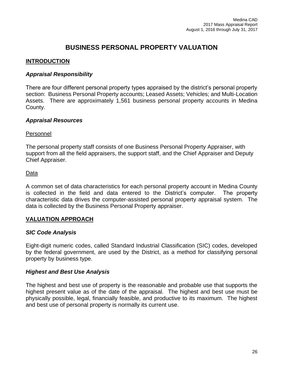## **BUSINESS PERSONAL PROPERTY VALUATION**

## **INTRODUCTION**

## *Appraisal Responsibility*

There are four different personal property types appraised by the district's personal property section: Business Personal Property accounts; Leased Assets; Vehicles; and Multi-Location Assets. There are approximately 1,561 business personal property accounts in Medina County.

## *Appraisal Resources*

## Personnel

The personal property staff consists of one Business Personal Property Appraiser, with support from all the field appraisers, the support staff, and the Chief Appraiser and Deputy Chief Appraiser.

## Data

A common set of data characteristics for each personal property account in Medina County is collected in the field and data entered to the District's computer. The property characteristic data drives the computer-assisted personal property appraisal system. The data is collected by the Business Personal Property appraiser.

## **VALUATION APPROACH**

## *SIC Code Analysis*

Eight-digit numeric codes, called Standard Industrial Classification (SIC) codes, developed by the federal government, are used by the District, as a method for classifying personal property by business type.

## *Highest and Best Use Analysis*

The highest and best use of property is the reasonable and probable use that supports the highest present value as of the date of the appraisal. The highest and best use must be physically possible, legal, financially feasible, and productive to its maximum. The highest and best use of personal property is normally its current use.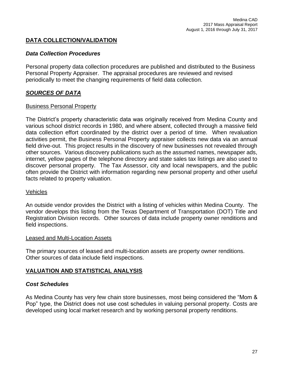## **DATA COLLECTION/VALIDATION**

## *Data Collection Procedures*

Personal property data collection procedures are published and distributed to the Business Personal Property Appraiser. The appraisal procedures are reviewed and revised periodically to meet the changing requirements of field data collection.

## *SOURCES OF DATA*

#### Business Personal Property

The District's property characteristic data was originally received from Medina County and various school district records in 1980, and where absent, collected through a massive field data collection effort coordinated by the district over a period of time. When revaluation activities permit, the Business Personal Property appraiser collects new data via an annual field drive-out. This project results in the discovery of new businesses not revealed through other sources. Various discovery publications such as the assumed names, newspaper ads, internet, yellow pages of the telephone directory and state sales tax listings are also used to discover personal property. The Tax Assessor, city and local newspapers, and the public often provide the District with information regarding new personal property and other useful facts related to property valuation.

#### Vehicles

An outside vendor provides the District with a listing of vehicles within Medina County. The vendor develops this listing from the Texas Department of Transportation (DOT) Title and Registration Division records. Other sources of data include property owner renditions and field inspections.

#### Leased and Multi-Location Assets

The primary sources of leased and multi-location assets are property owner renditions. Other sources of data include field inspections.

## **VALUATION AND STATISTICAL ANALYSIS**

## *Cost Schedules*

As Medina County has very few chain store businesses, most being considered the "Mom & Pop" type, the District does not use cost schedules in valuing personal property. Costs are developed using local market research and by working personal property renditions.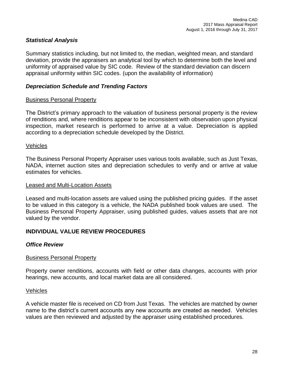## *Statistical Analysis*

Summary statistics including, but not limited to, the median, weighted mean, and standard deviation, provide the appraisers an analytical tool by which to determine both the level and uniformity of appraised value by SIC code. Review of the standard deviation can discern appraisal uniformity within SIC codes. (upon the availability of information)

## *Depreciation Schedule and Trending Factors*

## Business Personal Property

The District's primary approach to the valuation of business personal property is the review of renditions and, where renditions appear to be inconsistent with observation upon physical inspection, market research is performed to arrive at a value. Depreciation is applied according to a depreciation schedule developed by the District.

#### Vehicles

The Business Personal Property Appraiser uses various tools available, such as Just Texas, NADA, internet auction sites and depreciation schedules to verify and or arrive at value estimates for vehicles.

#### Leased and Multi-Location Assets

Leased and multi-location assets are valued using the published pricing guides. If the asset to be valued in this category is a vehicle, the NADA published book values are used. The Business Personal Property Appraiser, using published guides, values assets that are not valued by the vendor.

## **INDIVIDUAL VALUE REVIEW PROCEDURES**

## *Office Review*

## Business Personal Property

Property owner renditions, accounts with field or other data changes, accounts with prior hearings, new accounts, and local market data are all considered.

#### Vehicles

A vehicle master file is received on CD from Just Texas. The vehicles are matched by owner name to the district's current accounts any new accounts are created as needed. Vehicles values are then reviewed and adjusted by the appraiser using established procedures.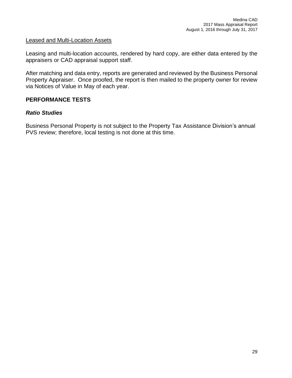#### Leased and Multi-Location Assets

Leasing and multi-location accounts, rendered by hard copy, are either data entered by the appraisers or CAD appraisal support staff.

After matching and data entry, reports are generated and reviewed by the Business Personal Property Appraiser. Once proofed, the report is then mailed to the property owner for review via Notices of Value in May of each year.

## **PERFORMANCE TESTS**

## *Ratio Studies*

Business Personal Property is not subject to the Property Tax Assistance Division's annual PVS review; therefore, local testing is not done at this time.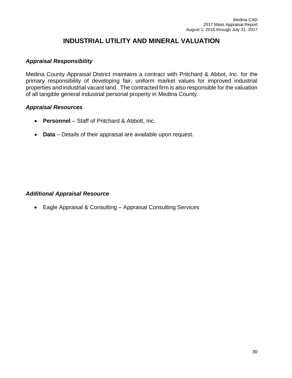## **INDUSTRIAL UTILITY AND MINERAL VALUATION**

## *Appraisal Responsibility*

Medina County Appraisal District maintains a contract with Pritchard & Abbot, Inc. for the primary responsibility of developing fair, uniform market values for improved industrial properties and industrial vacant land. The contracted firm is also responsible for the valuation of all tangible general industrial personal property in Medina County.

#### *Appraisal Resources*

- **Personnel** Staff of Pritchard & Abbott, Inc.
- **Data** Details of their appraisal are available upon request.

## *Additional Appraisal Resource*

• Eagle Appraisal & Consulting – Appraisal Consulting Services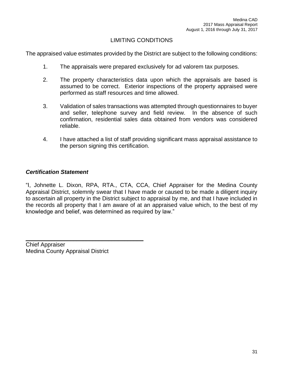## LIMITING CONDITIONS

The appraised value estimates provided by the District are subject to the following conditions:

- 1. The appraisals were prepared exclusively for ad valorem tax purposes.
- 2. The property characteristics data upon which the appraisals are based is assumed to be correct. Exterior inspections of the property appraised were performed as staff resources and time allowed.
- 3. Validation of sales transactions was attempted through questionnaires to buyer and seller, telephone survey and field review. In the absence of such confirmation, residential sales data obtained from vendors was considered reliable.
- 4. I have attached a list of staff providing significant mass appraisal assistance to the person signing this certification.

## *Certification Statement*

"I, Johnette L. Dixon, RPA, RTA., CTA, CCA, Chief Appraiser for the Medina County Appraisal District, solemnly swear that I have made or caused to be made a diligent inquiry to ascertain all property in the District subject to appraisal by me, and that I have included in the records all property that I am aware of at an appraised value which, to the best of my knowledge and belief, was determined as required by law."

Chief Appraiser Medina County Appraisal District

 $\mathcal{L}_\text{max}$  and  $\mathcal{L}_\text{max}$  and  $\mathcal{L}_\text{max}$  and  $\mathcal{L}_\text{max}$